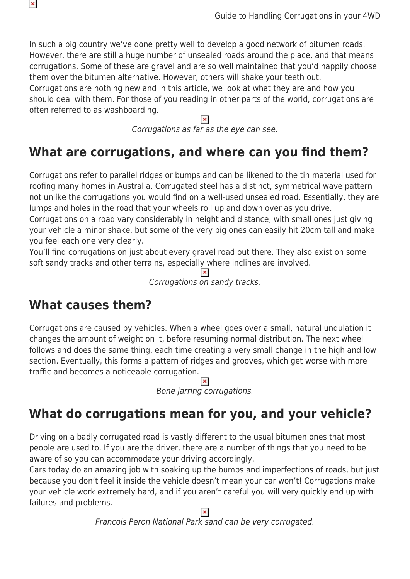In such a big country we've done pretty well to develop a good network of bitumen roads. However, there are still a huge number of unsealed roads around the place, and that means corrugations. Some of these are gravel and are so well maintained that you'd happily choose them over the bitumen alternative. However, others will shake your teeth out. Corrugations are nothing new and in this article, we look at what they are and how you should deal with them. For those of you reading in other parts of the world, corrugations are often referred to as washboarding.

Corrugations as far as the eye can see.

## **What are corrugations, and where can you find them?**

Corrugations refer to parallel ridges or bumps and can be likened to the tin material used for roofing many homes in Australia. Corrugated steel has a distinct, symmetrical wave pattern not unlike the corrugations you would find on a well-used unsealed road. Essentially, they are lumps and holes in the road that your wheels roll up and down over as you drive.

Corrugations on a road vary considerably in height and distance, with small ones just giving your vehicle a minor shake, but some of the very big ones can easily hit 20cm tall and make you feel each one very clearly.

You'll find corrugations on just about every gravel road out there. They also exist on some soft sandy tracks and other terrains, especially where inclines are involved.

Corrugations on sandy tracks.

#### **What causes them?**

 $\pmb{\times}$ 

Corrugations are caused by vehicles. When a wheel goes over a small, natural undulation it changes the amount of weight on it, before resuming normal distribution. The next wheel follows and does the same thing, each time creating a very small change in the high and low section. Eventually, this forms a pattern of ridges and grooves, which get worse with more traffic and becomes a noticeable corrugation.

Bone jarring corrugations.

# **What do corrugations mean for you, and your vehicle?**

Driving on a badly corrugated road is vastly different to the usual bitumen ones that most people are used to. If you are the driver, there are a number of things that you need to be aware of so you can accommodate your driving accordingly.

Cars today do an amazing job with soaking up the bumps and imperfections of roads, but just because you don't feel it inside the vehicle doesn't mean your car won't! Corrugations make your vehicle work extremely hard, and if you aren't careful you will very quickly end up with failures and problems.

Francois Peron National Park sand can be very corrugated.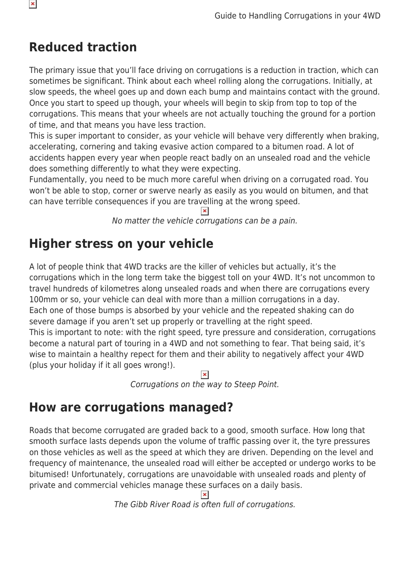## **Reduced traction**

The primary issue that you'll face driving on corrugations is a reduction in traction, which can sometimes be significant. Think about each wheel rolling along the corrugations. Initially, at slow speeds, the wheel goes up and down each bump and maintains contact with the ground. Once you start to speed up though, your wheels will begin to skip from top to top of the corrugations. This means that your wheels are not actually touching the ground for a portion of time, and that means you have less traction.

This is super important to consider, as your vehicle will behave very differently when braking, accelerating, cornering and taking evasive action compared to a bitumen road. A lot of accidents happen every year when people react badly on an unsealed road and the vehicle does something differently to what they were expecting.

Fundamentally, you need to be much more careful when driving on a corrugated road. You won't be able to stop, corner or swerve nearly as easily as you would on bitumen, and that can have terrible consequences if you are travelling at the wrong speed.

No matter the vehicle corrugations can be a pain.

### **Higher stress on your vehicle**

A lot of people think that 4WD tracks are the killer of vehicles but actually, it's the corrugations which in the long term take the biggest toll on your 4WD. It's not uncommon to travel hundreds of kilometres along unsealed roads and when there are corrugations every 100mm or so, your vehicle can deal with more than a million corrugations in a day. Each one of those bumps is absorbed by your vehicle and the repeated shaking can do severe damage if you aren't set up properly or travelling at the right speed. This is important to note: with the right speed, tyre pressure and consideration, corrugations become a natural part of touring in a 4WD and not something to fear. That being said, it's wise to maintain a healthy repect for them and their ability to negatively affect your 4WD (plus your holiday if it all goes wrong!).

Corrugations on the way to Steep Point.

# **How are corrugations managed?**

Roads that become corrugated are graded back to a good, smooth surface. How long that smooth surface lasts depends upon the volume of traffic passing over it, the tyre pressures on those vehicles as well as the speed at which they are driven. Depending on the level and frequency of maintenance, the unsealed road will either be accepted or undergo works to be bitumised! Unfortunately, corrugations are unavoidable with unsealed roads and plenty of private and commercial vehicles manage these surfaces on a daily basis.

 $\pmb{\times}$ 

The Gibb River Road is often full of corrugations.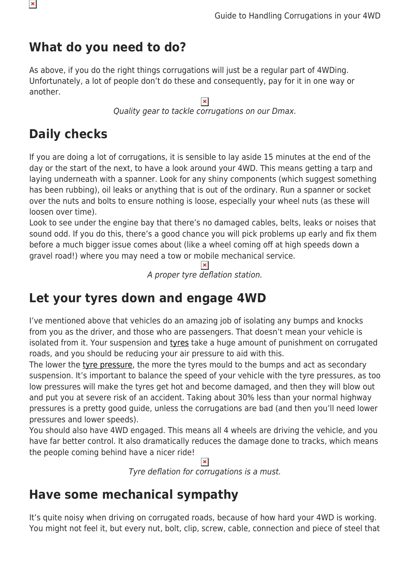### **What do you need to do?**

As above, if you do the right things corrugations will just be a regular part of 4WDing. Unfortunately, a lot of people don't do these and consequently, pay for it in one way or another.

> $\pmb{\times}$ Quality gear to tackle corrugations on our Dmax.

# **Daily checks**

If you are doing a lot of corrugations, it is sensible to lay aside 15 minutes at the end of the day or the start of the next, to have a look around your 4WD. This means getting a tarp and laying underneath with a spanner. Look for any shiny components (which suggest something has been rubbing), oil leaks or anything that is out of the ordinary. Run a spanner or socket over the nuts and bolts to ensure nothing is loose, especially your wheel nuts (as these will loosen over time).

Look to see under the engine bay that there's no damaged cables, belts, leaks or noises that sound odd. If you do this, there's a good chance you will pick problems up early and fix them before a much bigger issue comes about (like a wheel coming off at high speeds down a gravel road!) where you may need a tow or mobile mechanical service.

> $\mathbf{x}$ A proper tyre deflation station.

### **Let your tyres down and engage 4WD**

I've mentioned above that vehicles do an amazing job of isolating any bumps and knocks from you as the driver, and those who are passengers. That doesn't mean your vehicle is isolated from it. Your suspension and [tyres](https://www.snowys.com.au/blog/are-your-4wd-tyres-up-to-scratch/) take a huge amount of punishment on corrugated roads, and you should be reducing your air pressure to aid with this.

The lower the [tyre pressure](https://www.snowys.com.au/blog/guide-4wd-tyre-pressures/), the more the tyres mould to the bumps and act as secondary suspension. It's important to balance the speed of your vehicle with the tyre pressures, as too low pressures will make the tyres get hot and become damaged, and then they will blow out and put you at severe risk of an accident. Taking about 30% less than your normal highway pressures is a pretty good guide, unless the corrugations are bad (and then you'll need lower pressures and lower speeds).

You should also have 4WD engaged. This means all 4 wheels are driving the vehicle, and you have far better control. It also dramatically reduces the damage done to tracks, which means the people coming behind have a nicer ride!

Tyre deflation for corrugations is a must.

#### **Have some mechanical sympathy**

It's quite noisy when driving on corrugated roads, because of how hard your 4WD is working. You might not feel it, but every nut, bolt, clip, screw, cable, connection and piece of steel that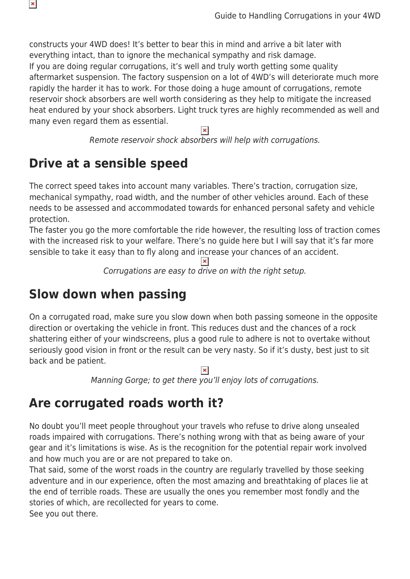constructs your 4WD does! It's better to bear this in mind and arrive a bit later with everything intact, than to ignore the mechanical sympathy and risk damage. If you are doing regular corrugations, it's well and truly worth getting some quality aftermarket suspension. The factory suspension on a lot of 4WD's will deteriorate much more rapidly the harder it has to work. For those doing a huge amount of corrugations, remote reservoir shock absorbers are well worth considering as they help to mitigate the increased heat endured by your shock absorbers. Light truck tyres are highly recommended as well and many even regard them as essential.

 $\pmb{\times}$ 

Remote reservoir shock absorbers will help with corrugations.

### **Drive at a sensible speed**

 $\pmb{\times}$ 

The correct speed takes into account many variables. There's traction, corrugation size, mechanical sympathy, road width, and the number of other vehicles around. Each of these needs to be assessed and accommodated towards for enhanced personal safety and vehicle protection.

The faster you go the more comfortable the ride however, the resulting loss of traction comes with the increased risk to your welfare. There's no quide here but I will say that it's far more sensible to take it easy than to fly along and increase your chances of an accident.

 $\pmb{\times}$ 

Corrugations are easy to drive on with the right setup.

#### **Slow down when passing**

On a corrugated road, make sure you slow down when both passing someone in the opposite direction or overtaking the vehicle in front. This reduces dust and the chances of a rock shattering either of your windscreens, plus a good rule to adhere is not to overtake without seriously good vision in front or the result can be very nasty. So if it's dusty, best just to sit back and be patient.

Manning Gorge; to get there you'll enjoy lots of corrugations.

### **Are corrugated roads worth it?**

No doubt you'll meet people throughout your travels who refuse to drive along unsealed roads impaired with corrugations. There's nothing wrong with that as being aware of your gear and it's limitations is wise. As is the recognition for the potential repair work involved and how much you are or are not prepared to take on.

That said, some of the worst roads in the country are regularly travelled by those seeking adventure and in our experience, often the most amazing and breathtaking of places lie at the end of terrible roads. These are usually the ones you remember most fondly and the stories of which, are recollected for years to come.

See you out there.